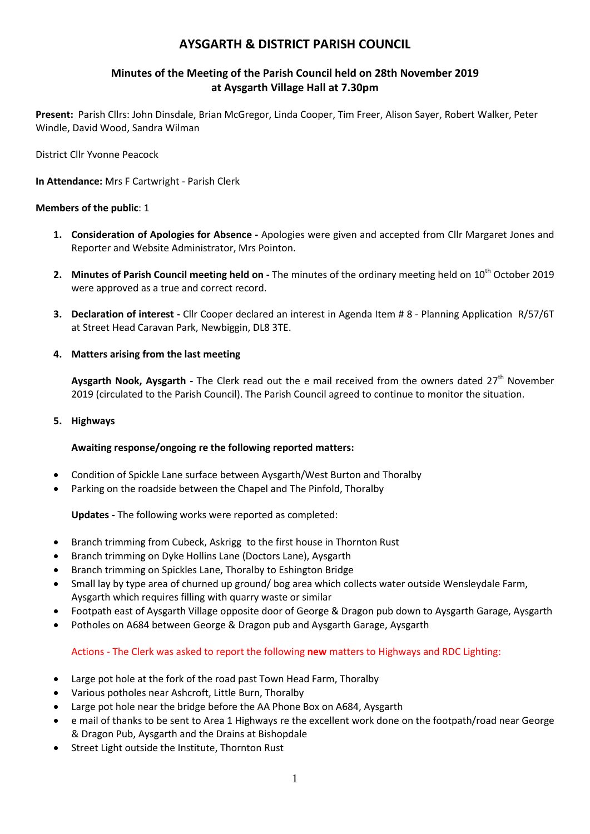# **AYSGARTH & DISTRICT PARISH COUNCIL**

# **Minutes of the Meeting of the Parish Council held on 28th November 2019 at Aysgarth Village Hall at 7.30pm**

**Present:** Parish Cllrs: John Dinsdale, Brian McGregor, Linda Cooper, Tim Freer, Alison Sayer, Robert Walker, Peter Windle, David Wood, Sandra Wilman

District Cllr Yvonne Peacock

**In Attendance:** Mrs F Cartwright - Parish Clerk

### **Members of the public**: 1

- **1. Consideration of Apologies for Absence -** Apologies were given and accepted from Cllr Margaret Jones and Reporter and Website Administrator, Mrs Pointon.
- 2. Minutes of Parish Council meeting held on The minutes of the ordinary meeting held on 10<sup>th</sup> October 2019 were approved as a true and correct record.
- **3. Declaration of interest -** Cllr Cooper declared an interest in Agenda Item # 8 Planning Application R/57/6T at Street Head Caravan Park, Newbiggin, DL8 3TE.

### **4. Matters arising from the last meeting**

Aysgarth Nook, Aysgarth - The Clerk read out the e mail received from the owners dated 27<sup>th</sup> November 2019 (circulated to the Parish Council). The Parish Council agreed to continue to monitor the situation.

**5. Highways**

# **Awaiting response/ongoing re the following reported matters:**

- Condition of Spickle Lane surface between Aysgarth/West Burton and Thoralby
- Parking on the roadside between the Chapel and The Pinfold, Thoralby

# **Updates -** The following works were reported as completed:

- Branch trimming from Cubeck, Askrigg to the first house in Thornton Rust
- Branch trimming on Dyke Hollins Lane (Doctors Lane), Aysgarth
- Branch trimming on Spickles Lane, Thoralby to Eshington Bridge
- Small lay by type area of churned up ground/ bog area which collects water outside Wensleydale Farm, Aysgarth which requires filling with quarry waste or similar
- Footpath east of Aysgarth Village opposite door of George & Dragon pub down to Aysgarth Garage, Aysgarth
- Potholes on A684 between George & Dragon pub and Aysgarth Garage, Aysgarth

# Actions - The Clerk was asked to report the following **new** matters to Highways and RDC Lighting:

- Large pot hole at the fork of the road past Town Head Farm, Thoralby
- Various potholes near Ashcroft, Little Burn, Thoralby
- Large pot hole near the bridge before the AA Phone Box on A684, Aysgarth
- e mail of thanks to be sent to Area 1 Highways re the excellent work done on the footpath/road near George & Dragon Pub, Aysgarth and the Drains at Bishopdale
- Street Light outside the Institute, Thornton Rust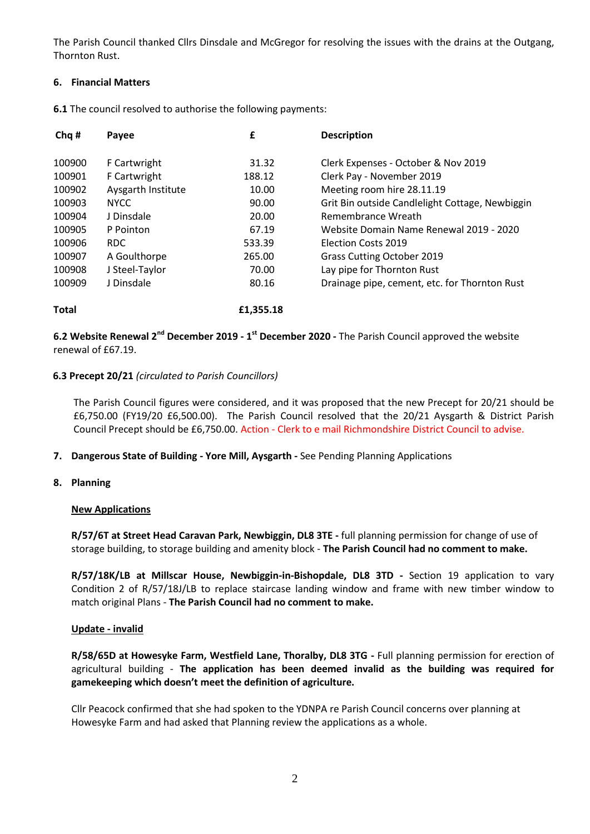The Parish Council thanked Cllrs Dinsdale and McGregor for resolving the issues with the drains at the Outgang, Thornton Rust.

# **6. Financial Matters**

**6.1** The council resolved to authorise the following payments:

| Chq #  | Payee              | £         | <b>Description</b>                              |
|--------|--------------------|-----------|-------------------------------------------------|
| 100900 | F Cartwright       | 31.32     | Clerk Expenses - October & Nov 2019             |
| 100901 | F Cartwright       | 188.12    | Clerk Pay - November 2019                       |
| 100902 | Aysgarth Institute | 10.00     | Meeting room hire 28.11.19                      |
| 100903 | <b>NYCC</b>        | 90.00     | Grit Bin outside Candlelight Cottage, Newbiggin |
| 100904 | J Dinsdale         | 20.00     | Remembrance Wreath                              |
| 100905 | P Pointon          | 67.19     | Website Domain Name Renewal 2019 - 2020         |
| 100906 | RDC.               | 533.39    | <b>Flection Costs 2019</b>                      |
| 100907 | A Goulthorpe       | 265.00    | Grass Cutting October 2019                      |
| 100908 | J Steel-Taylor     | 70.00     | Lay pipe for Thornton Rust                      |
| 100909 | J Dinsdale         | 80.16     | Drainage pipe, cement, etc. for Thornton Rust   |
| Total  |                    | £1.355.18 |                                                 |

**6.2 Website Renewal 2nd December 2019 - 1 st December 2020 -** The Parish Council approved the website renewal of £67.19.

### **6.3 Precept 20/21** *(circulated to Parish Councillors)*

The Parish Council figures were considered, and it was proposed that the new Precept for 20/21 should be £6,750.00 (FY19/20 £6,500.00). The Parish Council resolved that the 20/21 Aysgarth & District Parish Council Precept should be £6,750.00. Action - Clerk to e mail Richmondshire District Council to advise.

**7. Dangerous State of Building - Yore Mill, Aysgarth -** See Pending Planning Applications

### **8. Planning**

### **New Applications**

**R/57/6T at Street Head Caravan Park, Newbiggin, DL8 3TE -** full planning permission for change of use of storage building, to storage building and amenity block - **The Parish Council had no comment to make.**

**R/57/18K/LB at Millscar House, Newbiggin-in-Bishopdale, DL8 3TD -** Section 19 application to vary Condition 2 of R/57/18J/LB to replace staircase landing window and frame with new timber window to match original Plans - **The Parish Council had no comment to make.**

### **Update - invalid**

**R/58/65D at Howesyke Farm, Westfield Lane, Thoralby, DL8 3TG -** Full planning permission for erection of agricultural building - **The application has been deemed invalid as the building was required for gamekeeping which doesn't meet the definition of agriculture.**

Cllr Peacock confirmed that she had spoken to the YDNPA re Parish Council concerns over planning at Howesyke Farm and had asked that Planning review the applications as a whole.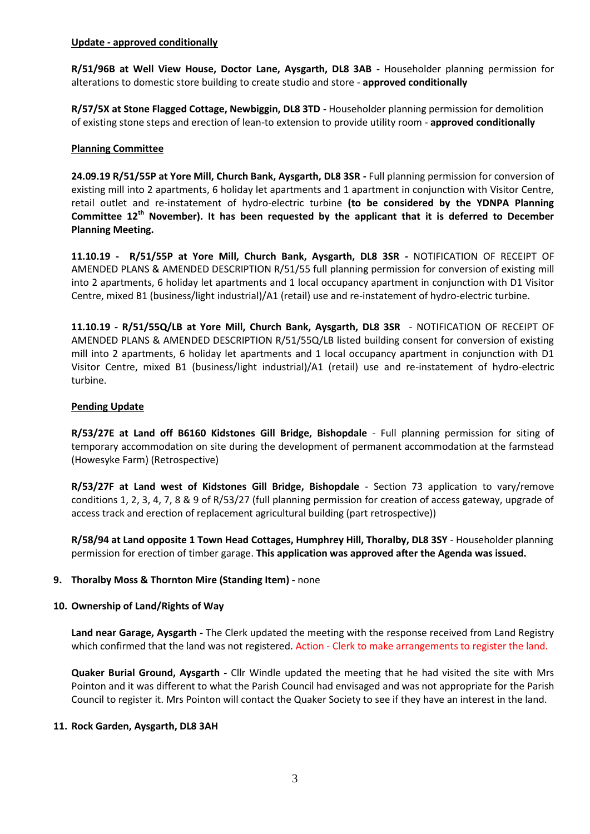### **Update - approved conditionally**

**R/51/96B at Well View House, Doctor Lane, Aysgarth, DL8 3AB -** Householder planning permission for alterations to domestic store building to create studio and store - **approved conditionally**

**R/57/5X at Stone Flagged Cottage, Newbiggin, DL8 3TD -** Householder planning permission for demolition of existing stone steps and erection of lean-to extension to provide utility room - **approved conditionally**

### **Planning Committee**

**24.09.19 R/51/55P at Yore Mill, Church Bank, Aysgarth, DL8 3SR -** Full planning permission for conversion of existing mill into 2 apartments, 6 holiday let apartments and 1 apartment in conjunction with Visitor Centre, retail outlet and re-instatement of hydro-electric turbine **(to be considered by the YDNPA Planning Committee 12th November). It has been requested by the applicant that it is deferred to December Planning Meeting.**

**11.10.19 - R/51/55P at Yore Mill, Church Bank, Aysgarth, DL8 3SR -** NOTIFICATION OF RECEIPT OF AMENDED PLANS & AMENDED DESCRIPTION R/51/55 full planning permission for conversion of existing mill into 2 apartments, 6 holiday let apartments and 1 local occupancy apartment in conjunction with D1 Visitor Centre, mixed B1 (business/light industrial)/A1 (retail) use and re-instatement of hydro-electric turbine.

**11.10.19 - R/51/55Q/LB at Yore Mill, Church Bank, Aysgarth, DL8 3SR** - NOTIFICATION OF RECEIPT OF AMENDED PLANS & AMENDED DESCRIPTION R/51/55Q/LB listed building consent for conversion of existing mill into 2 apartments, 6 holiday let apartments and 1 local occupancy apartment in conjunction with D1 Visitor Centre, mixed B1 (business/light industrial)/A1 (retail) use and re-instatement of hydro-electric turbine.

### **Pending Update**

**R/53/27E at Land off B6160 Kidstones Gill Bridge, Bishopdale** - Full planning permission for siting of temporary accommodation on site during the development of permanent accommodation at the farmstead (Howesyke Farm) (Retrospective)

**R/53/27F at Land west of Kidstones Gill Bridge, Bishopdale** - Section 73 application to vary/remove conditions 1, 2, 3, 4, 7, 8 & 9 of R/53/27 (full planning permission for creation of access gateway, upgrade of access track and erection of replacement agricultural building (part retrospective))

**R/58/94 at Land opposite 1 Town Head Cottages, Humphrey Hill, Thoralby, DL8 3SY** - Householder planning permission for erection of timber garage. **This application was approved after the Agenda was issued.**

### **9. Thoralby Moss & Thornton Mire (Standing Item) -** none

#### **10. Ownership of Land/Rights of Way**

**Land near Garage, Aysgarth -** The Clerk updated the meeting with the response received from Land Registry which confirmed that the land was not registered. Action - Clerk to make arrangements to register the land.

**Quaker Burial Ground, Aysgarth -** Cllr Windle updated the meeting that he had visited the site with Mrs Pointon and it was different to what the Parish Council had envisaged and was not appropriate for the Parish Council to register it. Mrs Pointon will contact the Quaker Society to see if they have an interest in the land.

#### **11. Rock Garden, Aysgarth, DL8 3AH**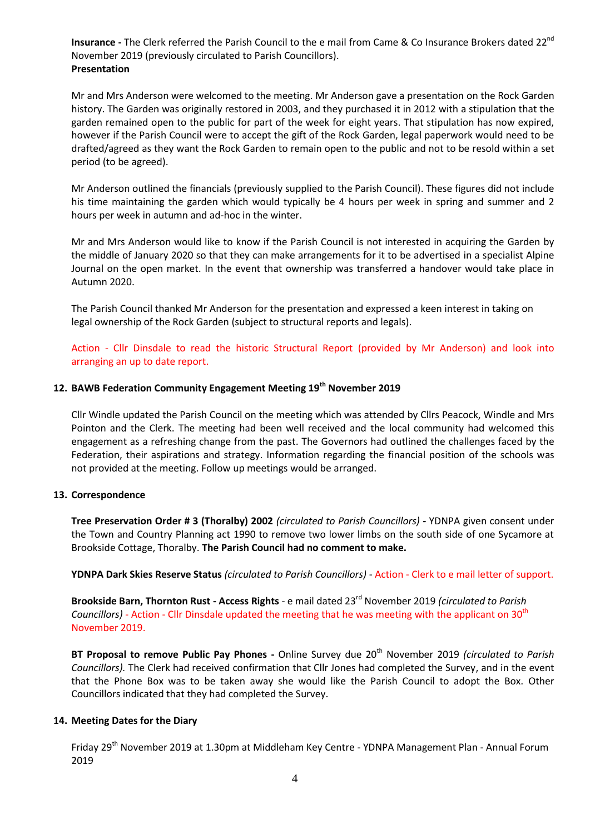**Insurance -** The Clerk referred the Parish Council to the e mail from Came & Co Insurance Brokers dated 22<sup>nd</sup> November 2019 (previously circulated to Parish Councillors). **Presentation**

Mr and Mrs Anderson were welcomed to the meeting. Mr Anderson gave a presentation on the Rock Garden history. The Garden was originally restored in 2003, and they purchased it in 2012 with a stipulation that the garden remained open to the public for part of the week for eight years. That stipulation has now expired, however if the Parish Council were to accept the gift of the Rock Garden, legal paperwork would need to be drafted/agreed as they want the Rock Garden to remain open to the public and not to be resold within a set period (to be agreed).

Mr Anderson outlined the financials (previously supplied to the Parish Council). These figures did not include his time maintaining the garden which would typically be 4 hours per week in spring and summer and 2 hours per week in autumn and ad-hoc in the winter.

Mr and Mrs Anderson would like to know if the Parish Council is not interested in acquiring the Garden by the middle of January 2020 so that they can make arrangements for it to be advertised in a specialist Alpine Journal on the open market. In the event that ownership was transferred a handover would take place in Autumn 2020.

The Parish Council thanked Mr Anderson for the presentation and expressed a keen interest in taking on legal ownership of the Rock Garden (subject to structural reports and legals).

Action - Cllr Dinsdale to read the historic Structural Report (provided by Mr Anderson) and look into arranging an up to date report.

### **12. BAWB Federation Community Engagement Meeting 19th November 2019**

Cllr Windle updated the Parish Council on the meeting which was attended by Cllrs Peacock, Windle and Mrs Pointon and the Clerk. The meeting had been well received and the local community had welcomed this engagement as a refreshing change from the past. The Governors had outlined the challenges faced by the Federation, their aspirations and strategy. Information regarding the financial position of the schools was not provided at the meeting. Follow up meetings would be arranged.

#### **13. Correspondence**

**Tree Preservation Order # 3 (Thoralby) 2002** *(circulated to Parish Councillors)* **-** YDNPA given consent under the Town and Country Planning act 1990 to remove two lower limbs on the south side of one Sycamore at Brookside Cottage, Thoralby. **The Parish Council had no comment to make.**

**YDNPA Dark Skies Reserve Status** *(circulated to Parish Councillors)* - Action - Clerk to e mail letter of support.

**Brookside Barn, Thornton Rust - Access Rights** - e mail dated 23rd November 2019 *(circulated to Parish Councillors)* - Action - Cllr Dinsdale updated the meeting that he was meeting with the applicant on 30<sup>th</sup> November 2019.

**BT Proposal to remove Public Pay Phones -** Online Survey due 20th November 2019 *(circulated to Parish Councillors).* The Clerk had received confirmation that Cllr Jones had completed the Survey, and in the event that the Phone Box was to be taken away she would like the Parish Council to adopt the Box. Other Councillors indicated that they had completed the Survey.

### **14. Meeting Dates for the Diary**

Friday 29<sup>th</sup> November 2019 at 1.30pm at Middleham Key Centre - YDNPA Management Plan - Annual Forum 2019